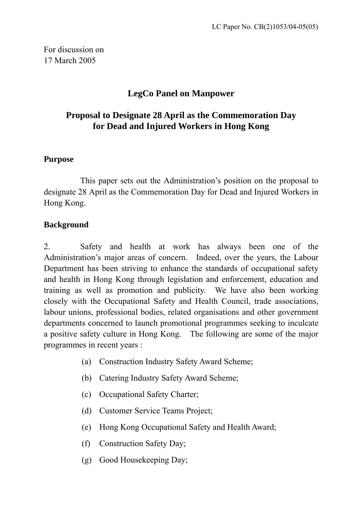For discussion on 17 March 2005

# **LegCo Panel on Manpower**

# **Proposal to Designate 28 April as the Commemoration Day for Dead and Injured Workers in Hong Kong**

#### **Purpose**

This paper sets out the Administration's position on the proposal to designate 28 April as the Commemoration Day for Dead and Injured Workers in Hong Kong.

#### **Background**

2. Safety and health at work has always been one of the Administration's major areas of concern. Indeed, over the years, the Labour Department has been striving to enhance the standards of occupational safety and health in Hong Kong through legislation and enforcement, education and training as well as promotion and publicity. We have also been working closely with the Occupational Safety and Health Council, trade associations, labour unions, professional bodies, related organisations and other government departments concerned to launch promotional programmes seeking to inculcate a positive safety culture in Hong Kong. The following are some of the major programmes in recent years :

- (a) Construction Industry Safety Award Scheme;
- (b) Catering Industry Safety Award Scheme;
- (c) Occupational Safety Charter;
- (d) Customer Service Teams Project;
- (e) Hong Kong Occupational Safety and Health Award;
- (f) Construction Safety Day;
- (g) Good Housekeeping Day;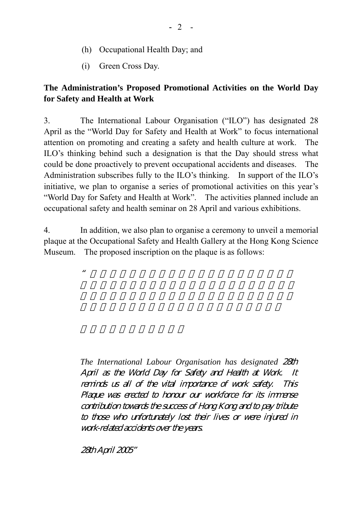- (h) Occupational Health Day; and
- (i) Green Cross Day.

### **The Administration's Proposed Promotional Activities on the World Day for Safety and Health at Work**

3. The International Labour Organisation ("ILO") has designated 28 April as the "World Day for Safety and Health at Work" to focus international attention on promoting and creating a safety and health culture at work. The ILO's thinking behind such a designation is that the Day should stress what could be done proactively to prevent occupational accidents and diseases. The Administration subscribes fully to the ILO's thinking. In support of the ILO's initiative, we plan to organise a series of promotional activities on this year's "World Day for Safety and Health at Work". The activities planned include an occupational safety and health seminar on 28 April and various exhibitions.

4. In addition, we also plan to organise a ceremony to unveil a memorial plaque at the Occupational Safety and Health Gallery at the Hong Kong Science Museum. The proposed inscription on the plaque is as follows:

 $\mathcal{U}$ 

*The International Labour Organisation has designated* 28th April as the World Day for Safety and Health at Work. It reminds us all of the vital importance of work safety. This Plaque was erected to honour our workforce for its immense contribution towards the success of Hong Kong and to pay tribute to those who unfortunately lost their lives or were injured in work-related accidents over the years.

28th April 2005"